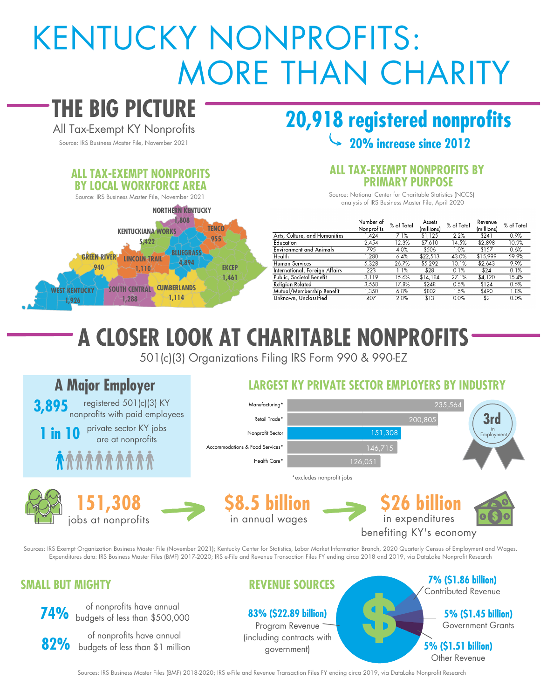# KENTUCKY NONPROFITS: MORE THAN CHARITY

# **THE BIG PICTURE**

All Tax-Exempt KY Nonprofits

#### **WENTUCKY 1,926 GREEN RIVER 940 SOUTH CENTRAL CUMBERLANDS 1,288 LINCOLN TRAIL 1,110 1,114 EKCEP 1,461 KENTUCKIANA WORKS 5,422 BLUEGRASS 4,894 TENCO 955 NORTHERN KENTUCKY 1,808 ALL TAX-EXEMPT NONPROFITS BY LOCAL WORKFORCE AREA** Source: IRS Business Master File, November 2021

## **20,918 registered nonprofits** Source: IRS Business Master File, November 2021<br>Source: IRS Business Master File, November 2021

#### **ALL TAX-EXEMPT NONPROFITS BY PRIMARY PURPOSE**

Source: National Center for Charitable Statistics (NCCS) analysis of IRS Business Master File, April 2020

|                                | Number of<br>Nonprofits | % of Total | Assets<br>(millions) | % of Total | Revenue<br>(millions) | $%$ of Total |  |  |
|--------------------------------|-------------------------|------------|----------------------|------------|-----------------------|--------------|--|--|
| Arts, Culture, and Humanities  | .424                    | 7.1%       | \$1,125              | 2.2%       | \$241                 | 0.9%         |  |  |
| Education                      | 2,454                   | 12.3%      | \$7,610              | 14.5%      | \$2,898               | 10.9%        |  |  |
| Environment and Animals        | 795                     | 4.0%       | \$506                | 1.0%       | \$157                 | 0.6%         |  |  |
| Health                         | .280                    | 6.4%       | \$22.513             | 43.0%      | \$15,998              | 59.9%        |  |  |
| Human Services                 | 5.328                   | 26.7%      | \$5,292              | 10.1%      | \$2,643               | 9.9%         |  |  |
| International, Foreign Affairs | 223                     | 1.1%       | \$28                 | 0.1%       | \$24                  | 0.1%         |  |  |
| Public, Societal Benefit       | 3.119                   | 15.6%      | \$14,184             | 27.1%      | \$4.120               | 15.4%        |  |  |
| Religion Related               | 3,558                   | 17.8%      | \$248                | 0.5%       | \$124                 | 0.5%         |  |  |
| Mutual/Membership Benefit      | 1.350                   | 6.8%       | \$802                | 1.5%       | \$490                 | 1.8%         |  |  |
| Unknown, Unclassified          | 407                     | 2.0%       | \$13                 | 0.0%       | \$2                   | 0.0%         |  |  |

# **A CLOSER LOOK AT CHARITABLE NONPROFITS**

501(c)(3) Organizations Filing IRS Form 990 & 990-EZ

#### **A Major Employer LARGEST KY PRIVATE SECTOR EMPLOYERS BY INDUSTRY**



Sources: IRS Exempt Organization Business Master File (November 2021); Kentucky Center for Statistics, Labor Market Information Branch, 2020 Quarterly Census of Employment and Wages. Expenditures data: IRS Business Master Files (BMF) 2017-2020; IRS e-File and Revenue Transaction Files FY ending circa 2018 and 2019, via DataLake Nonprofit Research

#### **SMALL BUT MIGHTY**



**74%** of nonprofits have annual<br>**74%** budgets of less than \$500,000

of nonprofits have annual<br>**82%** budgets of less than \$1 million

#### **REVENUE SOURCES**

**83% (\$22.89 billion)**

Program Revenue (including contracts with government)

**7% (\$1.86 billion)** Contributed Revenue **5% (\$1.45 billion)** Government Grants **5% (\$1.51 billion)** Other Revenue

Sources: IRS Business Master Files (BMF) 2018-2020; IRS e-File and Revenue Transaction Files FY ending circa 2019, via DataLake Nonprofit Research